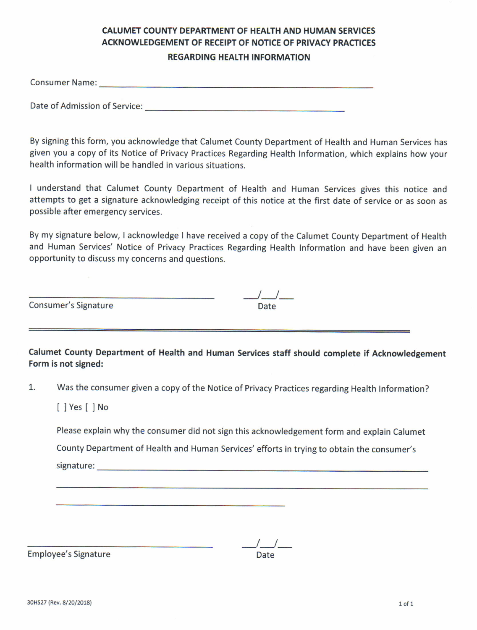# CALUMET COUNTY DEPARTMENT OF HEALTH AND HUMAN SERVICES ACKNOWLEDGEMENT OF RECEIPT OF NOTICE OF PRIVACY PRACTICES **REGARDING HEALTH INFORMATION**

Consumer Name:

Date of Admission of Service:

By signing this form, you acknowledge that Calumet County Department of Health and Human Services has given you a copy of its Notice of Privacy Practices Regarding Health Information, which explains how your health information will be handled in various situations.

I understand that Calumet County Department of Health and Human Services gives this notice and attempts to get a signature acknowledging receipt of this notice at the first date of service or as soon as possible after emergency services.

By my signature below, I acknowledge I have received a copy of the Calumet County Department of Health and Human Services' Notice of Privacy Practices Regarding Health Information and have been given an opportunity to discuss my concerns and questions.

 $\frac{1}{2}$ 

Consumer's Signature **Date** Date

Calumet county Department of Health and Human Services staff should complete if Acknowledgement Form is not signed:

1. Was the consumer given a copy of the Notice of Privacy Practices regarding Health Information?

[]Yes[]No

Please explain why the consumer did not sign this acknowledgement form and explain Calumet

County Department of Health and Human Services' efforts in trying to obtain the consumer's

signature: <u>contract and contract and contract and contract and contract and contract and contract and contract and contract and contract and contract and contract and contract and contract and contract and contract and co</u>

JJ-

Employee's Signature